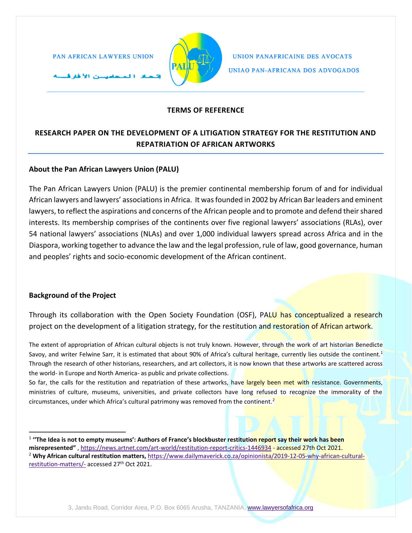مصيسين الأغار فسنته



UNION PANAFRICAINE DES AVOCATS UNIAO PAN-AFRICANA DOS ADVOGADOS

# **TERMS OF REFERENCE**

## **RESEARCH PAPER ON THE DEVELOPMENT OF A LITIGATION STRATEGY FOR THE RESTITUTION AND REPATRIATION OF AFRICAN ARTWORKS**

## **About the Pan African Lawyers Union (PALU)**

The Pan African Lawyers Union (PALU) is the premier continental membership forum of and for individual African lawyers and lawyers' associations in Africa. It was founded in 2002 by African Bar leaders and eminent lawyers, to reflect the aspirations and concerns of the African people and to promote and defend their shared interests. Its membership comprises of the continents over five regional lawyers' associations (RLAs), over 54 national lawyers' associations (NLAs) and over 1,000 individual lawyers spread across Africa and in the Diaspora, working together to advance the law and the legal profession, rule of law, good governance, human and peoples' rights and socio-economic development of the African continent.

### **Background of the Project**

Through its collaboration with the Open Society Foundation (OSF), PALU has conceptualized a research project on the development of a litigation strategy, for the restitution and restoration of African artwork.

The extent of appropriation of African cultural objects is not truly known. However, through the work of art historian Benedicte Savoy, and writer Felwine Sarr, it is estimated that about 90% of Africa's cultural heritage, currently lies outside the continent.<sup>1</sup> Through the research of other historians, researchers, and art collectors, it is now known that these artworks are scattered across the world- in Europe and North America- as public and private collections.

So far, the calls for the restitution and repatriation of these artworks, have largely been met with resistance. Governments, ministries of culture, museums, universities, and private collectors have long refused to recognize the immorality of the circumstances, under which Africa's cultural patrimony was removed from the continent.<sup>2</sup>

<sup>1</sup> **''The Idea is not to empty museums': Authors of France's blockbuster restitution report say their work has been misrepresented"** ,<https://news.artnet.com/art-world/restitution-report-critics-1446934> - accessed 27th Oct 2021. <sup>2</sup> **Why African cultural restitution matters,** [https://www.dailymaverick.co.za/opinionista/2019-12-05-why-african-cultural](https://www.dailymaverick.co.za/opinionista/2019-12-05-why-african-cultural-restitution-matters/-)[restitution-matters/-](https://www.dailymaverick.co.za/opinionista/2019-12-05-why-african-cultural-restitution-matters/-) accessed 27<sup>th</sup> Oct 2021.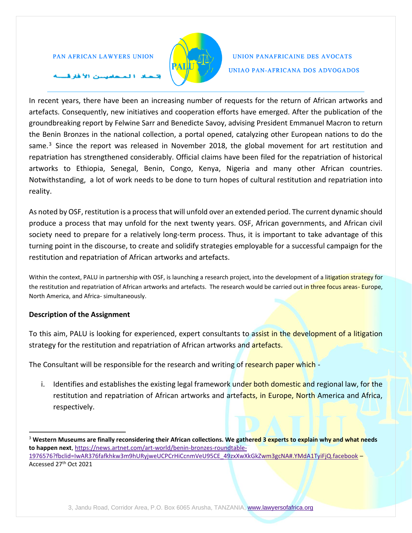

## UNION PANAFRICAINE DES AVOCATS UNIAO PAN-AFRICANA DOS ADVOGADOS

## سن الأفارق

In recent years, there have been an increasing number of requests for the return of African artworks and artefacts. Consequently, new initiatives and cooperation efforts have emerged. After the publication of the groundbreaking report by Felwine Sarr and Benedicte Savoy, advising President Emmanuel Macron to return the Benin Bronzes in the national collection, a portal opened, catalyzing other European nations to do the same.<sup>3</sup> Since the report was released in November 2018, the global movement for art restitution and repatriation has strengthened considerably. Official claims have been filed for the repatriation of historical artworks to Ethiopia, Senegal, Benin, Congo, Kenya, Nigeria and many other African countries. Notwithstanding, a lot of work needs to be done to turn hopes of cultural restitution and repatriation into reality.

As noted by OSF, restitution is a process that will unfold over an extended period. The current dynamic should produce a process that may unfold for the next twenty years. OSF, African governments, and African civil society need to prepare for a relatively long-term process. Thus, it is important to take advantage of this turning point in the discourse, to create and solidify strategies employable for a successful campaign for the restitution and repatriation of African artworks and artefacts.

Within the context, PALU in partnership with OSF, is launching a research project, into the development of a litigation strategy for the restitution and repatriation of African artworks and artefacts. The research would be carried out in three focus areas- Europe, North America, and Africa- simultaneously.

### **Description of the Assignment**

To this aim, PALU is looking for experienced, expert consultants to assist in the development of a litigation strategy for the restitution and repatriation of African artworks and **artefacts.** 

The Consultant will be responsible for the research and writing of research paper which -

i. Identifies and establishes the existing legal framework under both domestic and regional law, for the restitution and repatriation of African artworks and artefacts, in Europe, North America and Africa, respectively.

<sup>&</sup>lt;sup>3</sup> Western Museums are finally reconsidering their African collections. We gathered 3 experts to explain why and what needs **to happen next**, [https://news.artnet.com/art-world/benin-bronzes-roundtable-](https://news.artnet.com/art-world/benin-bronzes-roundtable-1976576?fbclid=IwAR376fafkhkw3m9hURyjweUCPCrHiCcnmVeU95CE_49zxXwXkGkZwm3gcNA#.YMdA1TyiFjQ.facebook)[1976576?fbclid=IwAR376fafkhkw3m9hURyjweUCPCrHiCcnmVeU95CE\\_49zxXwXkGkZwm3gcNA#.YMdA1TyiFjQ.facebook](https://news.artnet.com/art-world/benin-bronzes-roundtable-1976576?fbclid=IwAR376fafkhkw3m9hURyjweUCPCrHiCcnmVeU95CE_49zxXwXkGkZwm3gcNA#.YMdA1TyiFjQ.facebook) -Accessed 27th Oct 2021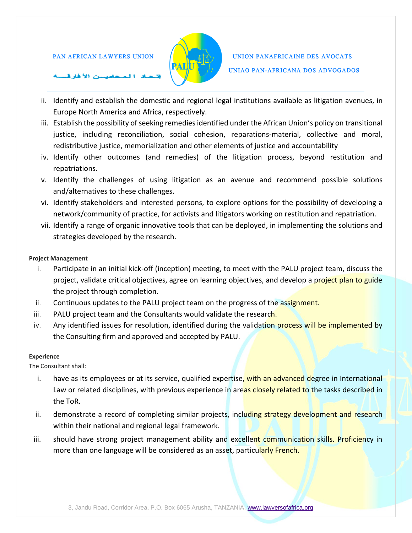

## UNION PANAFRICAINE DES AVOCATS UNIAO PAN-AFRICANA DOS ADVOGADOS

### ت الأهارة.

- ii. Identify and establish the domestic and regional legal institutions available as litigation avenues, in Europe North America and Africa, respectively.
- iii. Establish the possibility of seeking remedies identified under the African Union's policy on transitional justice, including reconciliation, social cohesion, reparations-material, collective and moral, redistributive justice, memorialization and other elements of justice and accountability
- iv. Identify other outcomes (and remedies) of the litigation process, beyond restitution and repatriations.
- v. Identify the challenges of using litigation as an avenue and recommend possible solutions and/alternatives to these challenges.
- vi. Identify stakeholders and interested persons, to explore options for the possibility of developing a network/community of practice, for activists and litigators working on restitution and repatriation.
- vii. Identify a range of organic innovative tools that can be deployed, in implementing the solutions and strategies developed by the research.

### **Project Management**

- i. Participate in an initial kick-off (inception) meeting, to meet with the PALU project team, discuss the project, validate critical objectives, agree on learning objectives, and develop a project plan to guide the project through completion.
- ii. Continuous updates to the PALU project team on the progress of the assignment.
- iii. PALU project team and the Consultants would validate the research.
- iv. Any identified issues for resolution, identified during the validation process will be implemented by the Consulting firm and approved and accepted by PALU.

#### **Experience**

The Consultant shall:

- i. have as its employees or at its service, qualified expertise, with an advanced degree in International Law or related disciplines, with previous experience in areas closely related to the tasks described in the ToR.
- ii. demonstrate a record of completing similar projects, including strategy development and research within their national and regional legal framework.
- iii. should have strong project management ability and excellent communication skills. Proficiency in more than one language will be considered as an asset, particularly French.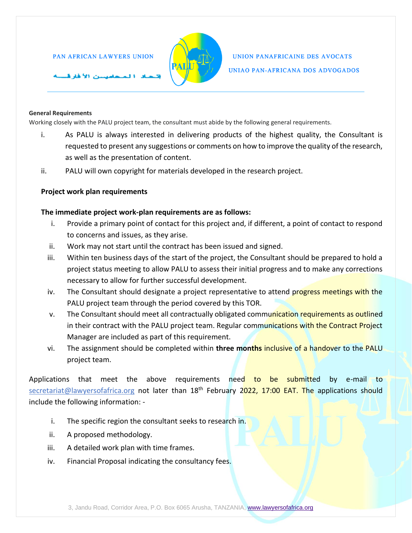سن الأفارق



## UNION PANAFRICAINE DES AVOCATS UNIAO PAN-AFRICANA DOS ADVOGADOS

#### **General Requirements**

Working closely with the PALU project team, the consultant must abide by the following general requirements.

- i. As PALU is always interested in delivering products of the highest quality, the Consultant is requested to present any suggestions or comments on how to improve the quality of the research, as well as the presentation of content.
- ii. PALU will own copyright for materials developed in the research project.

#### **Project work plan requirements**

#### **The immediate project work-plan requirements are as follows:**

- i. Provide a primary point of contact for this project and, if different, a point of contact to respond to concerns and issues, as they arise.
- ii. Work may not start until the contract has been issued and signed.
- iii. Within ten business days of the start of the project, the Consultant should be prepared to hold a project status meeting to allow PALU to assess their initial progress and to make any corrections necessary to allow for further successful development.
- iv. The Consultant should designate a project representative to attend progress meetings with the PALU project team through the period covered by this TOR.
- v. The Consultant should meet all contractually obligated communication requirements as outlined in their contract with the PALU project team. Regular communications with the Contract Project Manager are included as part of this requirement.
- vi. The assignment should be completed within **three months** inclusive of a handover to the PALU project team.

Applications that meet the above requirements need to be submitted by e-mail to [secretariat@lawyersofafrica.org](mailto:mbayard@dmiassociates.com) not later than 18<sup>th</sup> February 2022, 17:00 EAT. The applications should include the following information: -

- i. The specific region the consultant seeks to research in.
- ii. A proposed methodology.
- iii. A detailed work plan with time frames.
- iv. Financial Proposal indicating the consultancy fees.